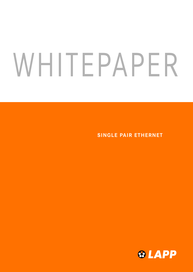# WHITEPAPER

SINGLE PAIR ETHERNET

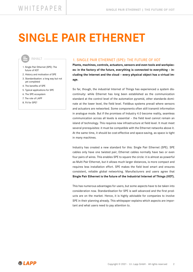# SINGLE PAIR ETHERNET



- 1. Single Pair Ethernet (SPE): The future of IIOT
- 2. History and motivation of SPE
- 3. Standardisation: a long way but not yet completed
- 4. The benefits of SPE
- 5. Typical applications for SPE
- 6. The SPE ecosystem
- 7. The role of LAPP
- 8. Fit for SPE?

# 1. SINGLE PAIR ETHERNET (SPE): THE FUTURE OF IIOT

Plants, machines, controls, actuators, sensors and even tools and workpieces: in the factory of the future, everything is connected to everything – including the Internet and the cloud – every physical object has a virtual image.

So far, though, the industrial Internet of Things has experienced a system discontinuity: while Ethernet has long been established as the communication standard at the control level of the automation pyramid, other standards dominate at the lower level, the field level. Fieldbus systems prevail where sensors and actuators are networked. Some components often still transmit information in analogue mode. But if the promises of Industry 4.0 become reality, seamless communication across all levels is essential – the field level cannot remain an island of technology. This requires new infrastructure at field level. It must meet several prerequisites: it must be compatible with the Ethernet networks above it. At the same time, it should be cost-effective and space-saving, as space is tight in many machines.

Industry has created a new standard for this: Single Pair Ethernet (SPE). SPE cables only have one twisted pair; Ethernet cables normally have two or even four pairs of wires. This enables SPE to square the circle: it is almost as powerful as Multi Pair Ethernet, but it allows much larger distances, is more compact and requires less installation effort. SPE makes the field level smart and ensures consistent, reliable global networking. Manufacturers and users agree that Single Pair Ethernet is the future of the Industrial Internet of Things (IIOT).

This has numerous advantages for users, but some aspects have to be taken into consideration now. Standardisation for SPE is well advanced and the first products are on the market. Hence, it is highly advisable for companies to involve SPE in their planning already. This whitepaper explains which aspects are important and what users need to pay attention to.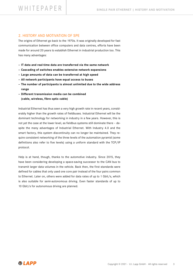# 2. HISTORY AND MOTIVATION OF SPE

The origins of Ethernet go back to the 1970s. It was originally developed for fast communication between office computers and data centres, efforts have been made for around 20 years to establish Ethernet in industrial production too. This has many advantages:

- IT data and real-time data are transferred via the same network
- Cascading of switches enables extensive network expansions
- Large amounts of data can be transferred at high speed
- All network participants have equal access to buses
- The number of participants is almost unlimited due to the wide address range
- Different transmission media can be combined (cable, wireless, fibre optic cable)

Industrial Ethernet has thus seen a very high growth rate in recent years, considerably higher than the growth rates of fieldbuses. Industrial Ethernet will be the dominant technology for networking in industry in a few years. However, this is not yet the case at the lower level, as fieldbus systems still dominate there – despite the many advantages of Industrial Ethernet. With Industry 4.0 and the smart factory, this system discontinuity can no longer be maintained. They require consistent networking of the three levels of the automation pyramid (some definitions also refer to five levels) using a uniform standard with the TCP/IP protocol.

Help is at hand, though, thanks to the automotive industry. Since 2015, they have been considering developing a space-saving successor to the CAN bus to transmit larger data volumes in the vehicle. Back then, the first standards were defined for cables that only used one core pair instead of the four pairs common to Ethernet. Later on, others were added for data rates of up to 1 Gbit/s, which is also suitable for semi-autonomous driving. Even faster standards of up to 10 Gbit/s for autonomous driving are planned.

**&LAPP**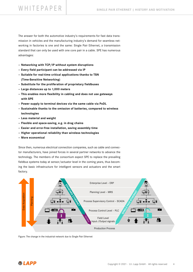# WHITEPAPER SINGLE PAIR ETHERNET I HISTORY AND MOTIVATION

The answer for both the automotive industry's requirements for fast data transmission in vehicles and the manufacturing industry's demand for seamless networking in factories is one and the same: Single Pair Ethernet, a transmission standard that can only be used with one core pair in a cable. SPE has numerous advantages:

- Networking with TCP/IP without system disruptions
- Every field participant can be addressed via IP
- Suitable for real-time critical applications thanks to TSN (Time-Sensitive Networking)
- Substitute for the proliferation of proprietary fieldbuses
- Large distances up to 1,000 meters
- This enables more flexibility in cabling and does not use gateways with SPE
- Power supply to terminal devices via the same cable via PoDL
- Sustainable thanks to the omission of batteries, compared to wireless technologies
- Less material and weight
- Flexible and space-saving, e.g. in drag chains
- Easier and error-free installation, saving assembly time
- Higher operational reliability than wireless technologies
- More economical

Since then, numerous electrical connection companies, such as cable and connector manufacturers, have joined forces in several partner networks to advance the technology. The members of the consortium expect SPE to replace the prevailing fieldbus systems today at sensor/actuator level in the coming years, thus becoming the basic infrastructure for intelligent sensors and actuators and the smart factory.



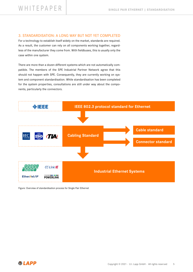# 3. STANDARDISATION: A LONG WAY BUT NOT YET COMPLETED

For a technology to establish itself widely on the market, standards are required. As a result, the customer can rely on all components working together, regardless of the manufacturer they come from. With fieldbuses, this is usually only the case within one system.

There are more than a dozen different systems which are not automatically compatible. The members of the SPE Industrial Partner Network agree that this should not happen with SPE. Consequently, they are currently working on system and component standardisation. While standardisation has been completed for the system properties, consultations are still under way about the components, particularly the connectors.



Figure: Overview of standardisation process for Single Pair Ethernet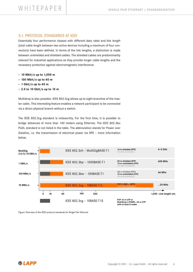# 3.1. PROTOCOL STANDARDS AT IEEE

Essentially four performance classes with different data rates and link length (total cable length between two active devices including a maximum of four connectors) have been defined. In terms of the link lengths, a distinction is made between unshielded and shielded cables. The shielded cables are predominantly relevant for industrial applications as they provide longer cable lengths and the necessary protection against electromagnetic interference:

- 10 Mbit/s up to 1,000 m
- 100 Mbit/s up to 40 m
- 1 Gbit/s up to 40 m
- $-2.5$  to 10 Gbit/s up to 15 m

Multidrop is also possible. IEEE 802.3cg allows up to eight branches of the master cable. This interesting feature enables a network participant to be connected via a direct physical branch without a switch.

The IEEE 802.3cg standard is noteworthy. For the first time, it is possible to bridge distances of more than 100 meters using Ethernet. The IEEE 802.3bu PoDL standard is not listed in the table. The abbreviation stands for Power over Dataline, i.e. the transmission of electrical power via SPE – more information below.



Figure: Overview of the IEEE protocol standards for Single Pair Ethernet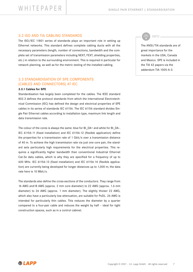# 3.2 ISO AND TIA CABLING STANDARDS

The ISO/IEC 11801 series of standards plays an important role in setting up Ethernet networks. This standard defines complete cabling ducts with all the necessary parameters (length, number of connections, bandwidth and the complete set of transmission parameters including NEXT, FEXT, shielding properties, etc.) in relation to the surrounding environment. This is required in particular for network planning, as well as for the metric testing of the installed cabling.

# 3.3 STANDARDISATION OF SPE COMPONENTS (CABLES AND CONNECTORS) AT IEC

### 3.3.1 Cables for SPE

Standardisation has largely been completed for the cables. The IEEE standard 802.3 defines the protocol standards from which the International Electrotechnical Commission (IEC) has defined the design and electrical properties of SPE cables in its series of standards IEC 61156. The IEC 61156 standard divides Single Pair Ethernet cables according to installation type, maximum link length and data transmission rate.

The colour of the cores is always the same: blue for BI\_DA+ and white for BI\_DA-. IEC 61156-11 (fixed installation) and IEC 61156-12 (flexible application) define the properties for a transmission rate of 1 Gbit/s over a transmission distance of 40 m. To achieve the high transmission rate via just one core pair, the standard sets particularly high requirements for the electrical properties. This requires a significantly higher bandwidth than conventional Industrial Ethernet Cat.5e data cables, which is why they are specified for a frequency of up to 600 MHz. IEC 61156-13 (fixed installation) and IEC 61156-14 (flexible application) are currently being developed for longer distances up to 1,000 m; the data rate here is 10 Mbit/s.

The standards also define the cross-sections of the conductors. They range from 16 AWG and18 AWG (approx. 2 mm core diameter) to 22 AWG (approx. 1.6 mm diameter) to 26 AWG (approx. 1 mm diameter). The slightly thicker 22 AWG, which also have a particularly low attenuation, are suitable for PoDL. 26 AWG is intended for particularly thin cables. This reduces the diameter by a quarter compared to a four-pair cable and reduces the weight by half – ideal for tight construction spaces, such as in a control cabinet.

INFO

The ANSI/TIA standards are of great importance for the markets in the USA, Canada and Mexico. SPE is included in the TIA 42 papers via the addendum TIA-1005-A-3.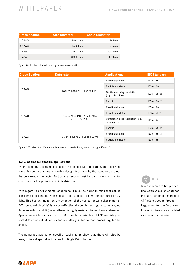| <b>Cross Section</b> | <b>Wire Diameter</b> | <b>Cable Diameter</b> |
|----------------------|----------------------|-----------------------|
| <b>26 AWG</b>        | $1.0 - 1.3$ mm       | $4-5$ mm              |
| 22 AWG               | $1.5 - 2.0$ mm       | $5-6$ mm              |
| 18 AWG               | $2.35 - 2.7$ mm      | $6.5 - 8$ mm          |
| <b>16 AWG</b>        | $3.0 - 3.4$ mm       | $8 - 10$ mm           |

Figure: Cable dimensions depending on core cross-section

| <b>Cross Section</b> | Data rate                                              | <b>Applications</b>                                   | <b>IEC Standard</b> |
|----------------------|--------------------------------------------------------|-------------------------------------------------------|---------------------|
| <b>26 AWG</b>        |                                                        | Fixed installation                                    | IEC 61156-11        |
|                      | 1Gbit/s 1000BASE-T1 up to 40m                          | Flexible installation                                 | IEC 61156-11        |
|                      |                                                        | Continous flexing installation<br>(e.g. cable chain)  | IEC 61156-12        |
|                      |                                                        | Robotic                                               | IEC 61156-12        |
| 22 AWG               | 1 Gbit/s 1000BASE-T1 up to 40m<br>(optimized for PoDL) | Fixed installation                                    | IEC 61156-11        |
|                      |                                                        | Flexible installation                                 | IEC 61156-11        |
|                      |                                                        | Continous flexing installation (e. g.<br>cable chain) | IEC 61156-12        |
|                      |                                                        | Robotic                                               | IEC 61156-12        |
| 18 AWG               |                                                        | Fixed installation                                    | IEC 61156-13        |
|                      | 10 Mbit/s 10BASE-T1 up to 1,000m                       | Flexible installation                                 | IEC 61156-14        |

Figure: SPE cables for different applications and installation types according to IEC 61156

### 3.3.2. Cables for specific applications

When selecting the right cables for the respective application, the electrical transmission parameters and cable design described by the standards are not the only relevant aspects. Particular attention must be paid to environmental conditions or fire protection in industrial use.

With regard to environmental conditions, it must be borne in mind that cables can come into contact, with media or be exposed to high temperatures or UV light. This has an impact on the selection of the correct outer jacket material. PVC (polyvinyl chloride) is a cost-effective all-rounder with good to very good flame retardance. PUR (polyurethane) is highly resistant to mechanical stresses. Special materials such as the ROBUST sheath material from LAPP are highly resistant to chemical influences and are ideally suited to food processing, for example.

The numerous application-specific requirements show that there will also be many different specialised cables for Single Pair Ethernet.

# INFO

When it comes to fire properties, approvals such as UL for the North American market or CPR (Construction Product Regulation) for the European Economic Area are also added as a selection criterion.

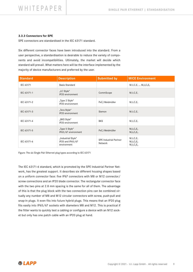# 3.3.3 Connectors for SPE

SPE connectors are standardised in the IEC 63171 standard.

Six different connector faces have been introduced into the standard. From a user perspective, a standardisation is desirable to reduce the variety of components and avoid incompatibilities. Ultimately, the market will decide which standard will prevail. What matters here will be the interface implemented by the majority of device manufacturers and preferred by the user.

| <b>Standard</b> | <b>Description</b>                                    | <b>Submitted by</b>                      | <b>MICE Environment</b>                            |
|-----------------|-------------------------------------------------------|------------------------------------------|----------------------------------------------------|
| IEC 63171       | <b>Basis Standard</b>                                 |                                          | $M_1I_1C_1E_1  M_3I_3C_3E_3$                       |
| IEC 63171-1     | "LC Style"<br>IP20 environment                        | CommScope                                | $M_1I_1C_1E_1$                                     |
| IEC 63171-2     | "Type 2 Style"<br>IP20 environment                    | PxC/Weidmüller                           | $M_1I_1C_1E_1$                                     |
| IEC 63171-3     | "Tera Style"<br>IP20 environment                      | Siemon                                   | $M_1I_1C_1E_1$                                     |
| IEC 63171-4     | "BKS Style"<br>IP20 environment                       | <b>BKS</b>                               | $M_1I_1C_1E_1$                                     |
| IEC 63171-5     | "Type 5 Style"<br>IP65/67 environment                 | PxC/Weidmüller                           | $M_2I_2C_2E_2$<br>$M_3I_3C_3E_3$                   |
| IEC 63171-6     | "Industrial Style"<br>IP20 and IP65/67<br>environment | <b>SPE Industrial Partner</b><br>Network | $M_1I_1C_1E_1$<br>$M_2I_2C_2E_2$<br>$M_3I_3C_3E_3$ |

Figure: The six Single Pair Ethernet plug types according to IEC 63171

The IEC 63171-6 standard, which is promoted by the SPE Industrial Partner Network, has the greatest support. It describes six different housing shapes based on a uniform connector face: five IP67 connectors with M8 or M12 connector/ screw connections and an IP20 blade connector. The rectangular connector face with the two pins at 2.8 mm spacing is the same for all of them. The advantage of this is that the plug block with the two connection pins can be combined virtually any number of M8 and M12 circular connectors with screw, push-pull and snap-in plugs. It even fits into future hybrid plugs. This means that an IP20 plug fits easily into IP65/67 sockets with diameters M8 and M12. This is practical if the fitter wants to quickly test a cabling or configure a device with an M12 socket but only has one patch cable with an IP20 plug at hand.

**&LAPP**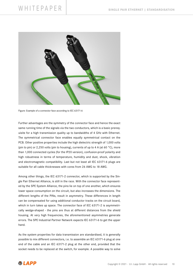# WHITEPAPER SINGLE PAIR ETHERNET I STANDARDISATION



Figure: Example of a connector face according to IEC 63171-6

Further advantages are the symmetry of the connector face and hence the exact same running time of the signals via the two conductors, which is a basic prerequisite for a high transmission quality up to bandwidths of 4 GHz with Ethernet. The symmetrical connector face enables equally symmetrical contact on the PCB. Other positive properties include the high dielectric strength of 1,000 volts (pin to pin) or 2,250 volts (pin to housing), currents of up to 4 A (at 60 °C), more than 1,000 connected cycles (for the IP20 version), confusion-proof polarity and high robustness in terms of temperature, humidity and dust, shock, vibration and electromagnetic compatibility. Last but not least all IEC 63171-6 plugs are suitable for all cable thicknesses with cores from 26 AWG to 18 AWG.

Among other things, the IEC 63171-2 connector, which is supported by the Single Pair Ethernet Alliance, is still in the race. With the connector face represented by the SPE System Alliance, the pins lie on top of one another, which ensures lower space consumption on the circuit, but also increases the dimensions. The different lengths of the PINs, result in asymmetry. These differences in length can be compensated for using additional conductor tracks on the circuit board, which in turn takes up space. The connector face of IEC 63171-2 is asymmetrically wedge-shaped - the pins are thus at different distances from the shield housing. At very high frequencies, the aforementioned asymmetries generate errors. The SPE Industrial Partner Network expects IEC 63171-6 to get the upper hand.

As the system properties for data transmission are standardised, it is generally possible to mix different connectors, i.e. to assemble an IEC 63171-6 plug at one end of the cable and an IEC 63171-2 plug at the other end, provided that the socket needs to be replaced at the switch, for example. A possible way to solve

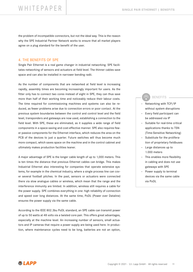# WHITEPAPER SINGLE PAIR ETHERNET I BENEFITS

the problem of incompatible connectors, but not the ideal way. This is the reason why the SPE Industrial Partner Network works to ensure that all market players agree on a plug standard for the benefit of the user.

# 4. THE BENEFITS OF SPE

Single Pair Ethernet is a real game changer in industrial networking. SPE facilitates networking of sensors and actuators at field level. The thinner cables save space and can also be installed in narrower bending radii.

As the number of components that are networked at field level is increasing rapidly, assembly times are becoming increasingly important for users. As the fitter only has to connect two cores instead of eight in SPE, they can thus save more than half of their working time and noticeably reduce their labour costs. The time required for commissioning machines and systems can also be reduced, as fewer problems arise due to connection errors or poor contact. At the previous system boundaries between the control and control level and the field level, transponders and gateways are now used, establishing a connection to the field level. With SPE, these are eliminated, as it supplies a wide range of field components in a space-saving and cost-effective manner. SPE also requires fewer passive components for the Ethernet interface, which reduces the area on the PCB of the devices to just a quarter. Future switches will thus become much more compact, which saves space on the machine and in the control cabinet and ultimately makes production facilities leaner.

A major advantage of SPE is the longer cable length of up to 1,000 meters. This is ten times the distance that previous Ethernet cables can bridge. This makes Industrial Ethernet also interesting for companies that operate extensive systems, for example in the chemical industry, where a single process line can cover several football pitches. In the past, sensors or actuators were connected there via slow analogue cables or wireless, which mean that the range and the interference immunity are limited. In addition, wireless still requires a cable for the power supply. SPE combines everything in one: high reliability of connection and speed over long distances. At the same time, PoDL (Power over Dataline) ensures the power supply via the same cable.

According to the IEEE 802.3bu PoDL standard, an SPE cable can transmit power of up to 50 watts at 48 volts via a twisted core pair. This offers great advantages, especially at the machine level. An increasing number of sensors, small actuators and IP cameras that require a power supply are being used here. In production, where maintenance cycles need to be long, batteries are not an option,

# BENEFITS

- Networking with TCP/IP without system disruptions
- Every field participant can be addressed via IP
- Suitable for real-time critical applications thanks to TSN (Time-Sensitive Networking)
- Substitute for the proliferation of proprietary fieldbuses
- Large distances up to 1.000 meters
- This enables more flexibility in cabling and does not use gateways with SPE
- Power supply to terminal devices via the same cable via PoDL

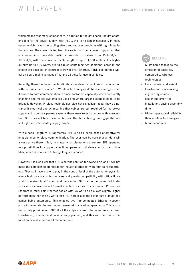# WHITEPAPER SINGLE PAIR ETHERNET I VORTEILE

which means that many components in addition to the data cable require another cable for the power supply. With PoDL, this is no longer necessary in many cases, which halves the cabling effort and reduces problems with tight installation spaces. The current is fed from the switch or from a power supply unit that is inserted into the cable. PoDL is possible for cables from 10 Mbit/s to 10 Gbit/s, with the maximum cable length of up to 1,000 meters. For higher outputs up to 400 watts, hybrid cables containing two additional cores in one sheath are possible. In contrast to Power over Ethernet, PoDL also defines typical on-board mains voltages of 12 and 24 volts for use in vehicles.

Recently, there has been much talk about wireless technologies in connection with factories, particularly 5G. Wireless technologies do have advantages when it comes to data communication in smart factories, especially where frequently changing and mobile systems are used and where larger distances need to be bridged. However, wireless technologies also have disadvantages: they do not transmit electrical energy, meaning that cables are still required for the power supply and in densely packed systems there are wireless shadows with no reception. SPE does not face these limitations. The thin cables go into gaps that are still tight and immediately supply power.

With a cable length of 1,000 meters, SPE is also a cable-based alternative for long-distance wireless communication. The user can be sure that all data will always arrive there in full, no matter what disruptions there are. SPE opens up new possibilities for copper cable. It competes with wireless standards and glass fiber, which is now used to bridge longer distances.

However, it is also clear that SPE is not the solution for everything, and it will not make the established standards for industrial Ethernet with four pairs superfluous. They still have a role to play in the control level of the automation pyramid, where high data transmission rates and plug-in compatibility with office IT are vital. "One size fits all" won't work here either. SPE cannot be connected to devices with a conventional Ethernet interface such as PCs or servers. Power over Ethernet in multi-pair Ethernet cables with 95 watts also allows slightly higher performance than the 50 watts for SPE. There is also the advantage of multi-pair cables being automated. This enables two interconnected Ethernet network ports to negotiate the maximum transmission speed independently. This is currently only possible with SPE if all the chips are from the same manufacturer. User-friendly standardisation is already planned, and this will then make this function available across all manufacturers.

# BENEFITS

- Sustainable thanks to the omission of batteries, compared to wireless technologies
- Less material and weight
- Flexible and space-saving, e.g. in drag chains
- Easier and error-free installation, saving assembly time
- Higher operational reliability than wireless technologies
- More economical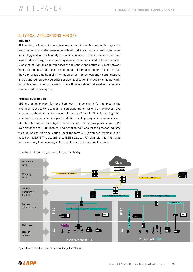# 5. TYPICAL APPLICATIONS FOR SPE

# Industry

SPE enables a factory to be networked across the entire automation pyramid, from the sensor to the management level and the cloud – all using the same technology and in a particularly economical manner. This is in line with the trend towards downsizing, as an increasing number of sensors need to be economically connected. SPE fills the gap between the sensor and actuator. Direct network integration means that sensors and actuators can also become "smarter", i.e. they can provide additional information or can be conveniently parameterized and diagnosed remotely. Another sensible application in industry is the networking of devices in control cabinets, where thinner cables and smaller connectors can be used to save space.

### Process automation

SPE is a game-changer for long distances in large plants, for instance in the chemical industry. For decades, analog signal transmissions or fieldbuses have been in use there with data transmission rates of just 31.25 Kbit, making it impossible to transfer video images. In addition, analogue signals are more susceptible to interference than digital transmissions. This is now possible with SPE over distances of 1,000 meters. Additional precautions for the process industry were defined for this application under the term APL (Advanced Physical Layer) based on 10BASE-T1L according to IEEE 802.3cg. For example, the APL takes intrinsic safety into account, which enables use in hazardous locations.

Possible evolution stages for SPE use in industry:



Figure: Possible implementation steps for Single Pair Ethernet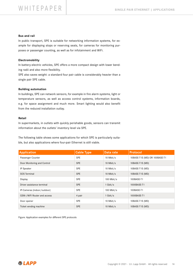### Bus and rail

In public transport, SPE is suitable for networking information systems, for example for displaying stops or reserving seats, for cameras for monitoring purposes or passenger counting, as well as for infotainment and WiFi.

## Electromobility

In battery-electric vehicles, SPE offers a more compact design with lower bending radii and also more flexibility.

SPE also saves weight: a standard four pair cable is considerably heavier than a single pair SPE cable.

### Building automation

In buildings, SPE can network sensors, for example in fire alarm systems, light or temperature sensors, as well as access control systems, information boards, e.g. for space assignment and much more. Smart lighting would also benefit from the reduced installation outlay.

# Retail

In supermarkets, in outlets with quickly perishable goods, sensors can transmit information about the outlets' inventory level via SPE.

The following table shows some applications for which SPE is particularly suitable, but also applications where four-pair Ethernet is still viable.

| <b>Application</b>          | <b>Cable Type</b> | Data rate  | <b>Protocol</b>               |
|-----------------------------|-------------------|------------|-------------------------------|
| Passenger Counter           | <b>SPE</b>        | 10 Mbit/s  | 10BASE-T1S (MD) OR 100BASE-T1 |
| Door Monitoring and Control | <b>SPE</b>        | 10 Mbit/s  | 10BASE-T1S (MD)               |
| IP Speaker                  | <b>SPE</b>        | 10 Mbit/s  | 10BASE-T1S (MD)               |
| SOS Terminal                | <b>SPE</b>        | 10 Mbit/s  | 10BASE-T1S (MD)               |
| Display                     | <b>SPE</b>        | 100 Mbit/s | 100BASE-T1                    |
| Driver assistance terminal  | <b>SPE</b>        | 1 Gbit/s   | 1000BASE-T1                   |
| IP-Cameras (indoor/outdoor) | <b>SPE</b>        | 100 Mbit/s | 100BASE-T1                    |
| GSM-/WiFi Router and access | 4 pair            | 1 Gbit/s   | 1000BASE-T1                   |
| Door opener                 | <b>SPE</b>        | 10 Mbit/s  | 10BASE-T1S (MD)               |
| Ticket vending machine      | <b>SPE</b>        | 10 Mbit/s  | 10BASE-T1S (MD)               |

Figure: Application examples for different SPE protocols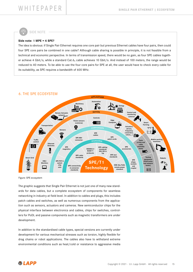SIDE NOTE

### Side note: 1 MPE = 4 SPE?

The idea is obvious: if Single Pair Ethernet requires one core pair but previous Ethernet cables have four pairs, then could four SPE core pairs be combined in one cable? Although cable sharing is possible in principle, it is not feasible from a technical and economic perspective. In terms of transmission speed, there would be no gain, as four SPE cables together achieve 4 Gbit/s, while a standard Cat.6<sub>4</sub> cable achieves 10 Gbit/s. And instead of 100 meters, the range would be reduced to 40 meters. To be able to use the four core pairs for SPE at all, the user would have to check every cable for its suitability, as SPE requires a bandwidth of 600 MHz.



Figure: SPE ecosystem

The graphic suggests that Single Pair Ethernet is not just one of many new standards for data cables, but a complete ecosystem of components for seamless networking in industry at field level. In addition to cables and plugs, this includes patch cables and switches, as well as numerous components from the application such as sensors, actuators and cameras. New semiconductor chips for the physical interface between electronics and cables, chips for switches, controllers for PoDL and passive components such as magnetic transformers are under development.

In addition to the standardised cable types, special versions are currently under development for various mechanical stresses such as torsion, highly flexible for drag chains or robot applications. The cables also have to withstand extreme environmental conditions such as heat/cold or resistance to aggressive media

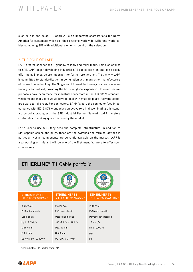# WHITEPAPER SINGLE PAIR ETHERNET ITHE ROLE OF LAPP

such as oils and acids. UL approval is an important characteristic for North America for customers which sell their systems worldwide. Different hybrid cables combining SPE with additional elements round off the selection.

# 7. THE ROLE OF LAPP

LAPP creates connections – globally, reliably and tailor-made. This also applies to SPE. LAPP began developing industrial SPE cables early on and can already offer them. Standards are important for further proliferation. That is why LAPP is committed to standardisation in conjunction with many other manufacturers of connection technology. The Single Pair Ethernet technology is already internationally standardised, providing the basis for global expansion. However, several proposals have been made for industrial connectors in the IEC 63171 standard, which means that users would have to deal with multiple plugs if several standards were to take root. For connectors, LAPP favours the connector face in accordance with IEC 63171-6 and plays an active role in disseminating this standard by collaborating with the SPE Industrial Partner Network. LAPP therefore contributes to making quick decision by the market.

For a user to use SPE, they need the complete infrastructure. In addition to SPE-capable cables and plugs, these are the switches and terminal devices in particular. Not all components are currently available on the market. LAPP is also working on this and will be one of the first manufacturers to offer such components.

| <b>ETHERLINE<sup>®</sup> T1</b> Cable portfolio     |                                                       |                                                       |  |
|-----------------------------------------------------|-------------------------------------------------------|-------------------------------------------------------|--|
|                                                     |                                                       |                                                       |  |
| <b>ETHERLINE<sup>®</sup> T1</b><br>FD P 1x2xAWG26/7 | <b>ETHERLINE<sup>®</sup> T1</b><br>Y FLEX 1x2xAWG22/7 | <b>ETHERLINE<sup>®</sup> T1</b><br>P FLEX 1x2xAWG18/7 |  |
| #2170921                                            | #2170922                                              | #2170924                                              |  |
| PUR outer sheath                                    | PVC outer sheath                                      | PVC outer sheath                                      |  |
| Cable chain                                         | Occasional flexing                                    | Permanently installed                                 |  |
| Up to 1 Gbit/s                                      | 100 Mbit/s - 1 Gbit/s                                 | 10 Mbit/s                                             |  |
| Max. 40 m                                           | Max. 100 m                                            | Max. 1,000 m                                          |  |
| Ø 4.7 mm                                            | $0.5.8$ mm                                            | p.p                                                   |  |
| UL AWM 80 °C, 300 V                                 | UL PLTC, CM, AWM                                      | p.p.                                                  |  |

Figure: Industrial SPE cables from LAPP